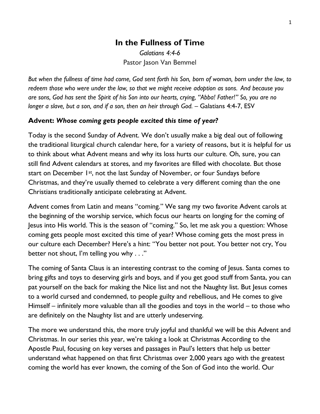# **In the Fullness of Time** *Galatians 4:4-6*

Pastor Jason Van Bemmel

*But when the fullness of time had come, God sent forth his Son, born of woman, born under the law, to redeem those who were under the law, so that we might receive adoption as sons. And because you are sons, God has sent the Spirit of his Son into our hearts, crying, "Abba! Father!" So, you are no longer a slave, but a son, and if a son, then an heir through God.* – Galatians 4:4-7, ESV

#### **Advent:** *Whose coming gets people excited this time of year?*

Today is the second Sunday of Advent. We don't usually make a big deal out of following the traditional liturgical church calendar here, for a variety of reasons, but it is helpful for us to think about what Advent means and why its loss hurts our culture. Oh, sure, you can still find Advent calendars at stores, and my favorites are filled with chocolate. But those start on December 1st, not the last Sunday of November, or four Sundays before Christmas, and they're usually themed to celebrate a very different coming than the one Christians traditionally anticipate celebrating at Advent.

Advent comes from Latin and means "coming." We sang my two favorite Advent carols at the beginning of the worship service, which focus our hearts on longing for the coming of Jesus into His world. This is the season of "coming." So, let me ask you a question: Whose coming gets people most excited this time of year? Whose coming gets the most press in our culture each December? Here's a hint: "You better not pout. You better not cry, You better not shout, I'm telling you why . . ."

The coming of Santa Claus is an interesting contrast to the coming of Jesus. Santa comes to bring gifts and toys to deserving girls and boys, and if you get good stuff from Santa, you can pat yourself on the back for making the Nice list and not the Naughty list. But Jesus comes to a world cursed and condemned, to people guilty and rebellious, and He comes to give Himself – infinitely more valuable than all the goodies and toys in the world – to those who are definitely on the Naughty list and are utterly undeserving.

The more we understand this, the more truly joyful and thankful we will be this Advent and Christmas. In our series this year, we're taking a look at Christmas According to the Apostle Paul, focusing on key verses and passages in Paul's letters that help us better understand what happened on that first Christmas over 2,000 years ago with the greatest coming the world has ever known, the coming of the Son of God into the world. Our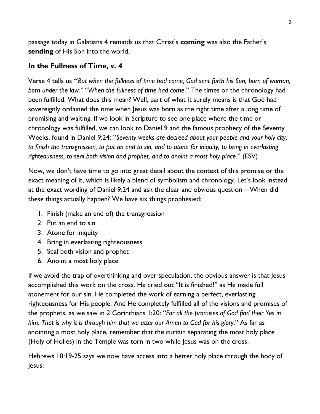passage today in Galatians 4 reminds us that Christ's **coming** was also the Father's **sending** of His Son into the world.

#### **In the Fullness of Time, v. 4**

Verse 4 tells us **"***But when the fullness of time had come, God sent forth his Son, born of woman, born under the law."* "*When the fullness of time had come*." The times or the chronology had been fulfilled. What does this mean? Well, part of what it surely means is that God had sovereignly ordained the time when Jesus was born as the right time after a long time of promising and waiting. If we look in Scripture to see one place where the time or chronology was fulfilled, we can look to Daniel 9 and the famous prophecy of the Seventy Weeks, found in Daniel 9:24: "*Seventy weeks are decreed about your people and your holy city, to finish the transgression, to put an end to sin, and to atone for iniquity, to bring in everlasting righteousness, to seal both vision and prophet, and to anoint a most holy place*." (ESV)

Now, we don't have time to go into great detail about the context of this promise or the exact meaning of it, which is likely a blend of symbolism and chronology. Let's look instead at the exact wording of Daniel 9:24 and ask the clear and obvious question – When did these things actually happen? We have six things prophesied:

- 1. Finish (make an end of) the transgression
- 2. Put an end to sin
- 3. Atone for iniquity
- 4. Bring in everlasting righteousness
- 5. Seal both vision and prophet
- 6. Anoint a most holy place

If we avoid the trap of overthinking and over speculation, the obvious answer is that Jesus accomplished this work on the cross. He cried out "It is finished!" as He made full atonement for our sin. He completed the work of earning a perfect, everlasting righteousness for His people. And He completely fulfilled all of the visions and promises of the prophets, as we saw in 2 Corinthians 1:20: "*For all the promises of God find their Yes in him. That is why it is through him that we utter our Amen to God for his glory*." As far as anointing a most holy place, remember that the curtain separating the most holy place (Holy of Holies) in the Temple was torn in two while Jesus was on the cross.

Hebrews 10:19-25 says we now have access into a better holy place through the body of Jesus: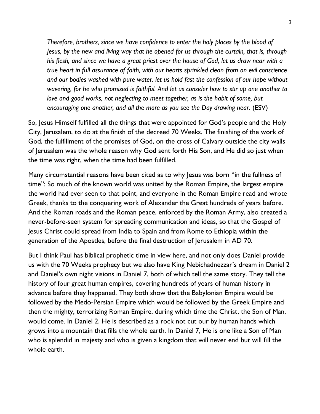*Therefore, brothers, since we have confidence to enter the holy places by the blood of Jesus, by the new and living way that he opened for us through the curtain, that is, through his flesh, and since we have a great priest over the house of God, let us draw near with a true heart in full assurance of faith, with our hearts sprinkled clean from an evil conscience and our bodies washed with pure water. let us hold fast the confession of our hope without wavering, for he who promised is faithful. And let us consider how to stir up one another to love and good works, not neglecting to meet together, as is the habit of some, but encouraging one another, and all the more as you see the Day drawing near*. (ESV)

So, Jesus Himself fulfilled all the things that were appointed for God's people and the Holy City, Jerusalem, to do at the finish of the decreed 70 Weeks. The finishing of the work of God, the fulfillment of the promises of God, on the cross of Calvary outside the city walls of Jerusalem was the whole reason why God sent forth His Son, and He did so just when the time was right, when the time had been fulfilled.

Many circumstantial reasons have been cited as to why Jesus was born "in the fullness of time": So much of the known world was united by the Roman Empire, the largest empire the world had ever seen to that point, and everyone in the Roman Empire read and wrote Greek, thanks to the conquering work of Alexander the Great hundreds of years before. And the Roman roads and the Roman peace, enforced by the Roman Army, also created a never-before-seen system for spreading communication and ideas, so that the Gospel of Jesus Christ could spread from India to Spain and from Rome to Ethiopia within the generation of the Apostles, before the final destruction of Jerusalem in AD 70.

But I think Paul has biblical prophetic time in view here, and not only does Daniel provide us with the 70 Weeks prophecy but we also have King Nebichadnezzar's dream in Daniel 2 and Daniel's own night visions in Daniel 7, both of which tell the same story. They tell the history of four great human empires, covering hundreds of years of human history in advance before they happened. They both show that the Babylonian Empire would be followed by the Medo-Persian Empire which would be followed by the Greek Empire and then the mighty, terrorizing Roman Empire, during which time the Christ, the Son of Man, would come. In Daniel 2, He is described as a rock not cut our by human hands which grows into a mountain that fills the whole earth. In Daniel 7, He is one like a Son of Man who is splendid in majesty and who is given a kingdom that will never end but will fill the whole earth.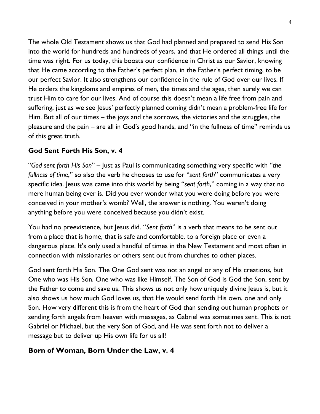The whole Old Testament shows us that God had planned and prepared to send His Son into the world for hundreds and hundreds of years, and that He ordered all things until the time was right. For us today, this boosts our confidence in Christ as our Savior, knowing that He came according to the Father's perfect plan, in the Father's perfect timing, to be our perfect Savior. It also strengthens our confidence in the rule of God over our lives. If He orders the kingdoms and empires of men, the times and the ages, then surely we can trust Him to care for our lives. And of course this doesn't mean a life free from pain and suffering, just as we see Jesus' perfectly planned coming didn't mean a problem-free life for Him. But all of our times – the joys and the sorrows, the victories and the struggles, the pleasure and the pain – are all in God's good hands, and "in the fullness of time" reminds us of this great truth.

## **God Sent Forth His Son, v. 4**

"*God sent forth His Son*" – Just as Paul is communicating something very specific with "*the fullness of time*," so also the verb he chooses to use for "*sent forth*" communicates a very specific idea. Jesus was came into this world by being "*sent forth*," coming in a way that no mere human being ever is. Did you ever wonder what you were doing before you were conceived in your mother's womb? Well, the answer is nothing. You weren't doing anything before you were conceived because you didn't exist.

You had no preexistence, but Jesus did. "*Sent forth*" is a verb that means to be sent out from a place that is home, that is safe and comfortable, to a foreign place or even a dangerous place. It's only used a handful of times in the New Testament and most often in connection with missionaries or others sent out from churches to other places.

God sent forth His Son. The One God sent was not an angel or any of His creations, but One who was His Son, One who was like Himself. The Son of God is God the Son, sent by the Father to come and save us. This shows us not only how uniquely divine Jesus is, but it also shows us how much God loves us, that He would send forth His own, one and only Son. How very different this is from the heart of God than sending out human prophets or sending forth angels from heaven with messages, as Gabriel was sometimes sent. This is not Gabriel or Michael, but the very Son of God, and He was sent forth not to deliver a message but to deliver up His own life for us all!

## **Born of Woman, Born Under the Law, v. 4**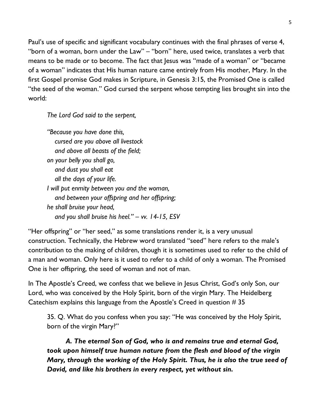Paul's use of specific and significant vocabulary continues with the final phrases of verse 4, "born of a woman, born under the Law" – "born" here, used twice, translates a verb that means to be made or to become. The fact that Jesus was "made of a woman" or "became of a woman" indicates that His human nature came entirely from His mother, Mary. In the first Gospel promise God makes in Scripture, in Genesis 3:15, the Promised One is called "the seed of the woman." God cursed the serpent whose tempting lies brought sin into the world:

*The Lord God said to the serpent,*

*"Because you have done this, cursed are you above all livestock and above all beasts of the field; on your belly you shall go, and dust you shall eat all the days of your life. I will put enmity between you and the woman, and between your offspring and her offspring; he shall bruise your head, and you shall bruise his heel." – vv. 14-15, ESV*

"Her offspring" or "her seed," as some translations render it, is a very unusual construction. Technically, the Hebrew word translated "seed" here refers to the male's contribution to the making of children, though it is sometimes used to refer to the child of a man and woman. Only here is it used to refer to a child of only a woman. The Promised One is her offspring, the seed of woman and not of man.

In The Apostle's Creed, we confess that we believe in Jesus Christ, God's only Son, our Lord, who was conceived by the Holy Spirit, born of the virgin Mary. The Heidelberg Catechism explains this language from the Apostle's Creed in question # 35

35. Q. What do you confess when you say: "He was conceived by the Holy Spirit, born of the virgin Mary?"

*A. The eternal Son of God, who is and remains true and eternal God, took upon himself true human nature from the flesh and blood of the virgin Mary, through the working of the Holy Spirit. Thus, he is also the true seed of David, and like his brothers in every respect, yet without sin.*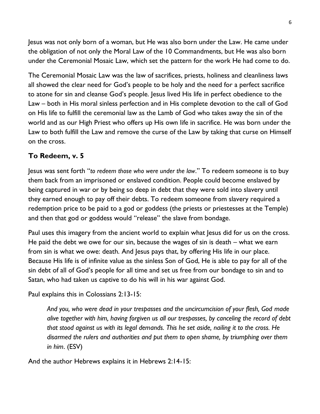Jesus was not only born of a woman, but He was also born under the Law. He came under the obligation of not only the Moral Law of the 10 Commandments, but He was also born under the Ceremonial Mosaic Law, which set the pattern for the work He had come to do.

The Ceremonial Mosaic Law was the law of sacrifices, priests, holiness and cleanliness laws all showed the clear need for God's people to be holy and the need for a perfect sacrifice to atone for sin and cleanse God's people. Jesus lived His life in perfect obedience to the Law – both in His moral sinless perfection and in His complete devotion to the call of God on His life to fulfill the ceremonial law as the Lamb of God who takes away the sin of the world and as our High Priest who offers up His own life in sacrifice. He was born under the Law to both fulfill the Law and remove the curse of the Law by taking that curse on Himself on the cross.

## **To Redeem, v. 5**

Jesus was sent forth "*to redeem those who were under the law*." To redeem someone is to buy them back from an imprisoned or enslaved condition. People could become enslaved by being captured in war or by being so deep in debt that they were sold into slavery until they earned enough to pay off their debts. To redeem someone from slavery required a redemption price to be paid to a god or goddess (the priests or priestesses at the Temple) and then that god or goddess would "release" the slave from bondage.

Paul uses this imagery from the ancient world to explain what Jesus did for us on the cross. He paid the debt we owe for our sin, because the wages of sin is death – what we earn from sin is what we owe: death. And Jesus pays that, by offering His life in our place. Because His life is of infinite value as the sinless Son of God, He is able to pay for all of the sin debt of all of God's people for all time and set us free from our bondage to sin and to Satan, who had taken us captive to do his will in his war against God.

Paul explains this in Colossians 2:13-15:

*And you, who were dead in your trespasses and the uncircumcision of your flesh, God made alive together with him, having forgiven us all our trespasses, by canceling the record of debt that stood against us with its legal demands. This he set aside, nailing it to the cross. He disarmed the rulers and authorities and put them to open shame, by triumphing over them in him*. (ESV)

And the author Hebrews explains it in Hebrews 2:14-15: